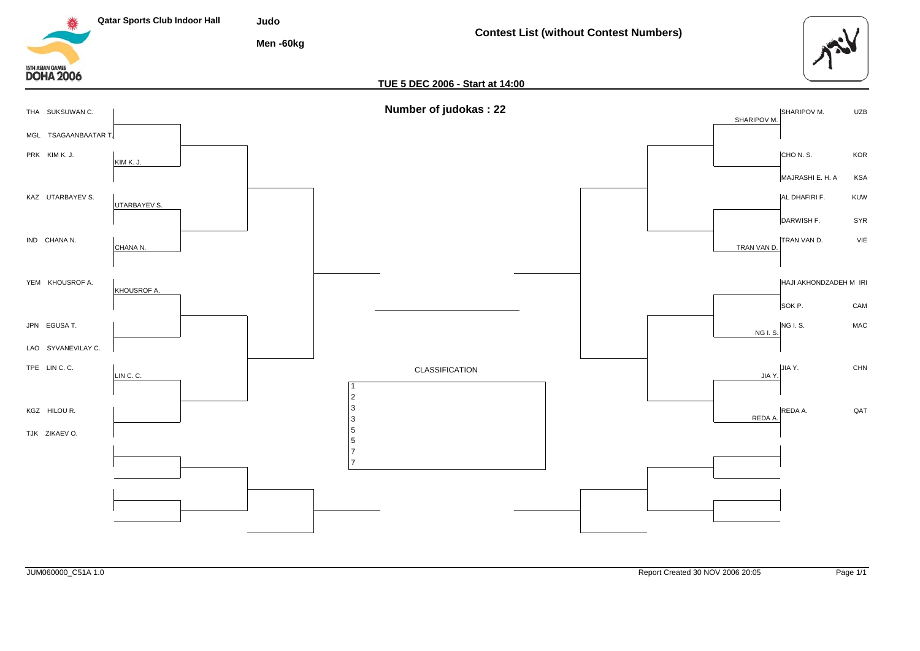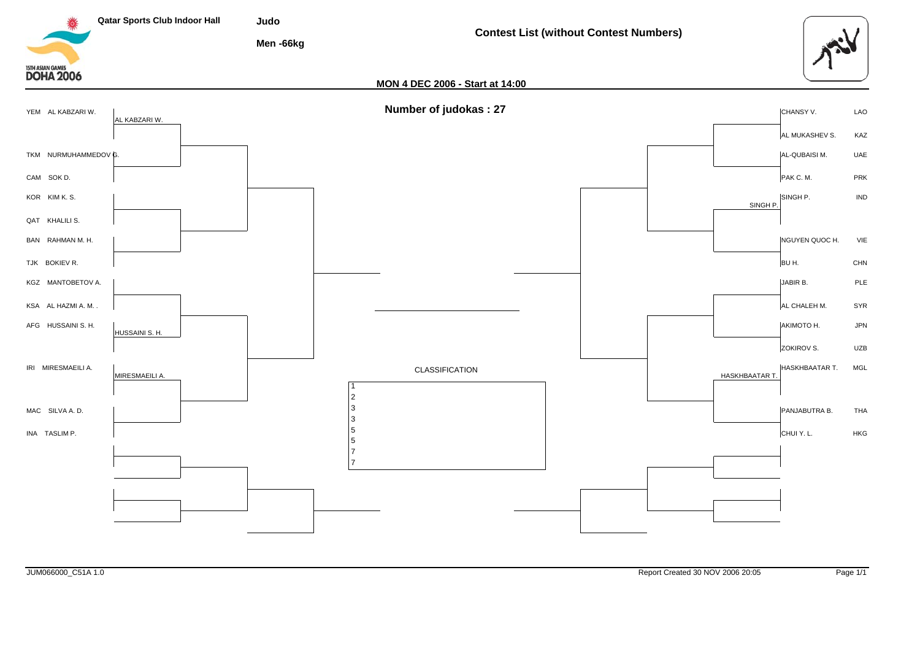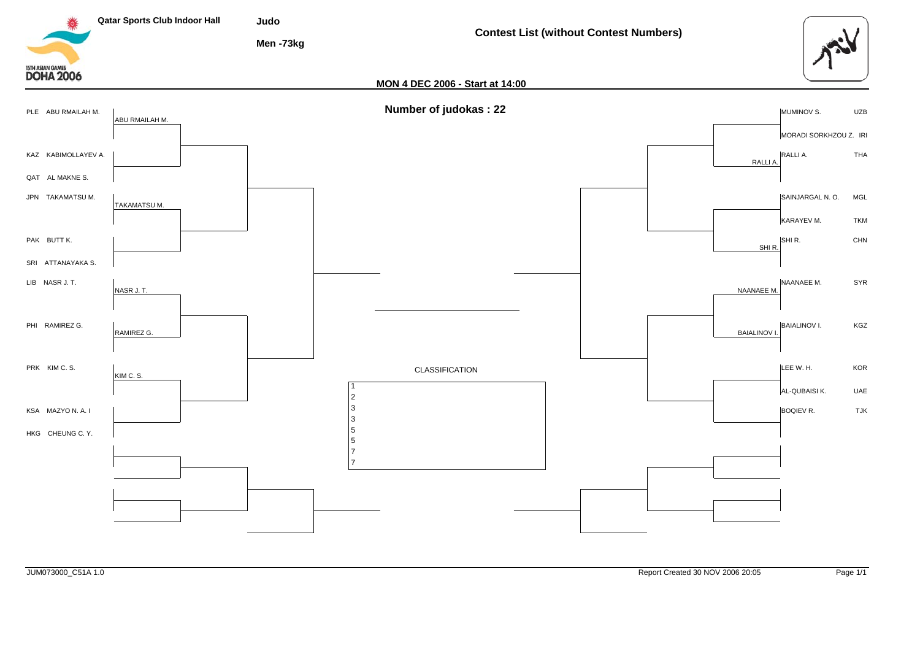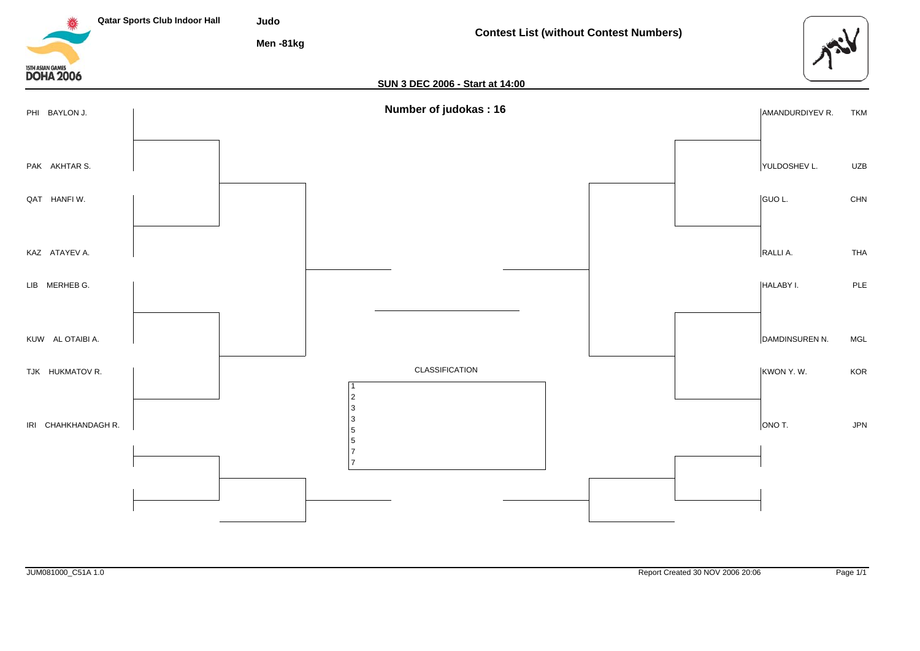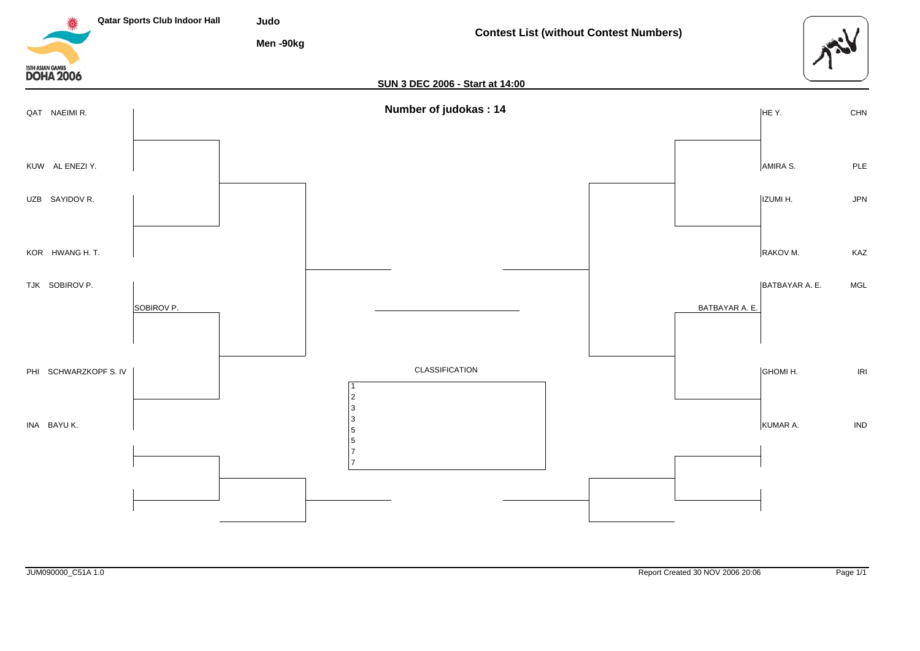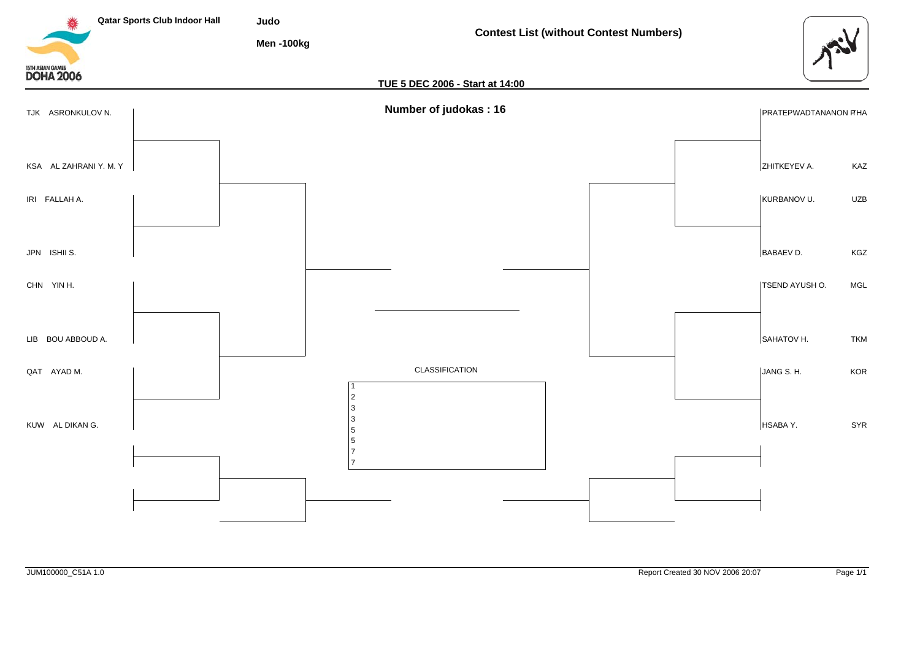